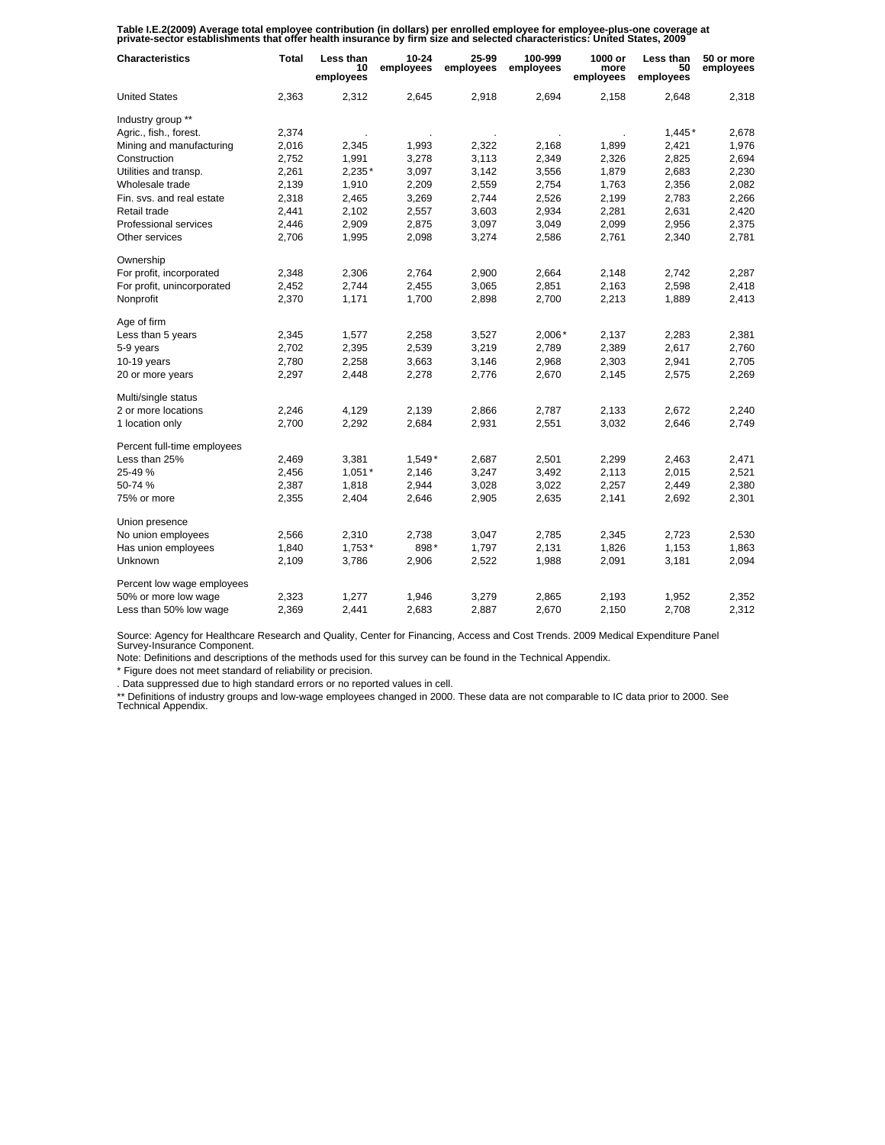Table I.E.2(2009) Average total employee contribution (in dollars) per enrolled employee for employee-plus-one coverage at<br>private-sector establishments that offer health insurance by firm size and selected characteristics

| <b>Characteristics</b>      | <b>Total</b> | Less than<br>10<br>employees | $10 - 24$<br>employees | 25-99<br>employees | 100-999<br>employees | 1000 or<br>more<br>employees | Less than<br>50<br>employees | 50 or more<br>employees |
|-----------------------------|--------------|------------------------------|------------------------|--------------------|----------------------|------------------------------|------------------------------|-------------------------|
| <b>United States</b>        | 2,363        | 2,312                        | 2,645                  | 2,918              | 2,694                | 2,158                        | 2,648                        | 2,318                   |
| Industry group **           |              |                              |                        |                    |                      |                              |                              |                         |
| Agric., fish., forest.      | 2,374        |                              |                        |                    |                      |                              | $1,445*$                     | 2,678                   |
| Mining and manufacturing    | 2,016        | 2,345                        | 1,993                  | 2,322              | 2,168                | 1,899                        | 2,421                        | 1,976                   |
| Construction                | 2,752        | 1,991                        | 3,278                  | 3,113              | 2,349                | 2,326                        | 2,825                        | 2,694                   |
| Utilities and transp.       | 2,261        | 2,235*                       | 3,097                  | 3,142              | 3,556                | 1,879                        | 2,683                        | 2,230                   |
| Wholesale trade             | 2,139        | 1,910                        | 2,209                  | 2,559              | 2,754                | 1,763                        | 2,356                        | 2,082                   |
| Fin. svs. and real estate   | 2,318        | 2,465                        | 3,269                  | 2,744              | 2,526                | 2,199                        | 2,783                        | 2,266                   |
| Retail trade                | 2,441        | 2,102                        | 2,557                  | 3,603              | 2,934                | 2,281                        | 2,631                        | 2,420                   |
| Professional services       | 2,446        | 2,909                        | 2,875                  | 3,097              | 3,049                | 2,099                        | 2,956                        | 2,375                   |
| Other services              | 2,706        | 1,995                        | 2,098                  | 3,274              | 2,586                | 2,761                        | 2,340                        | 2,781                   |
| Ownership                   |              |                              |                        |                    |                      |                              |                              |                         |
| For profit, incorporated    | 2,348        | 2,306                        | 2,764                  | 2,900              | 2,664                | 2,148                        | 2,742                        | 2,287                   |
| For profit, unincorporated  | 2,452        | 2,744                        | 2,455                  | 3,065              | 2,851                | 2,163                        | 2,598                        | 2,418                   |
| Nonprofit                   | 2,370        | 1,171                        | 1,700                  | 2,898              | 2,700                | 2,213                        | 1,889                        | 2,413                   |
| Age of firm                 |              |                              |                        |                    |                      |                              |                              |                         |
| Less than 5 years           | 2,345        | 1,577                        | 2,258                  | 3,527              | $2,006*$             | 2,137                        | 2,283                        | 2,381                   |
| 5-9 years                   | 2,702        | 2,395                        | 2,539                  | 3,219              | 2,789                | 2,389                        | 2,617                        | 2,760                   |
| $10-19$ years               | 2,780        | 2,258                        | 3,663                  | 3,146              | 2,968                | 2,303                        | 2,941                        | 2,705                   |
| 20 or more years            | 2,297        | 2,448                        | 2,278                  | 2,776              | 2,670                | 2,145                        | 2,575                        | 2,269                   |
| Multi/single status         |              |                              |                        |                    |                      |                              |                              |                         |
| 2 or more locations         | 2,246        | 4,129                        | 2,139                  | 2,866              | 2,787                | 2,133                        | 2,672                        | 2,240                   |
| 1 location only             | 2,700        | 2,292                        | 2,684                  | 2,931              | 2,551                | 3,032                        | 2,646                        | 2,749                   |
| Percent full-time employees |              |                              |                        |                    |                      |                              |                              |                         |
| Less than 25%               | 2,469        | 3,381                        | 1,549*                 | 2,687              | 2,501                | 2,299                        | 2,463                        | 2,471                   |
| 25-49 %                     | 2,456        | $1,051*$                     | 2,146                  | 3,247              | 3,492                | 2,113                        | 2,015                        | 2,521                   |
| 50-74 %                     | 2,387        | 1,818                        | 2,944                  | 3,028              | 3,022                | 2,257                        | 2,449                        | 2,380                   |
| 75% or more                 | 2,355        | 2,404                        | 2,646                  | 2,905              | 2,635                | 2,141                        | 2,692                        | 2,301                   |
| Union presence              |              |                              |                        |                    |                      |                              |                              |                         |
| No union employees          | 2,566        | 2,310                        | 2,738                  | 3,047              | 2,785                | 2,345                        | 2,723                        | 2,530                   |
| Has union employees         | 1,840        | $1,753*$                     | 898*                   | 1,797              | 2,131                | 1,826                        | 1,153                        | 1,863                   |
| Unknown                     | 2,109        | 3,786                        | 2,906                  | 2,522              | 1,988                | 2,091                        | 3,181                        | 2,094                   |
| Percent low wage employees  |              |                              |                        |                    |                      |                              |                              |                         |
| 50% or more low wage        | 2,323        | 1,277                        | 1,946                  | 3,279              | 2,865                | 2,193                        | 1,952                        | 2,352                   |
| Less than 50% low wage      | 2,369        | 2,441                        | 2,683                  | 2,887              | 2,670                | 2,150                        | 2,708                        | 2,312                   |

Source: Agency for Healthcare Research and Quality, Center for Financing, Access and Cost Trends. 2009 Medical Expenditure Panel Survey-Insurance Component.

Note: Definitions and descriptions of the methods used for this survey can be found in the Technical Appendix.

\* Figure does not meet standard of reliability or precision.

. Data suppressed due to high standard errors or no reported values in cell.

\*\* Definitions of industry groups and low-wage employees changed in 2000. These data are not comparable to IC data prior to 2000. See Technical Appendix.